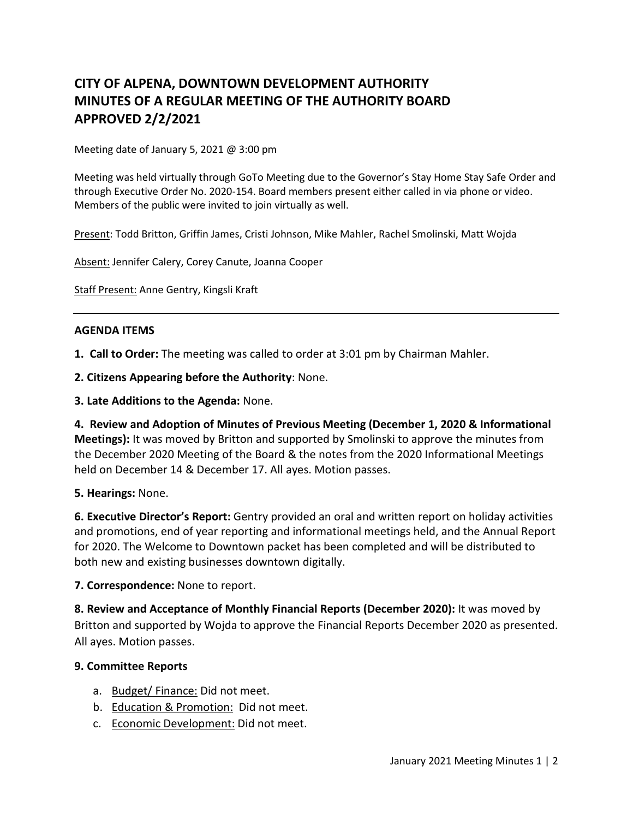# **CITY OF ALPENA, DOWNTOWN DEVELOPMENT AUTHORITY MINUTES OF A REGULAR MEETING OF THE AUTHORITY BOARD APPROVED 2/2/2021**

Meeting date of January 5, 2021 @ 3:00 pm

Meeting was held virtually through GoTo Meeting due to the Governor's Stay Home Stay Safe Order and through Executive Order No. 2020-154. Board members present either called in via phone or video. Members of the public were invited to join virtually as well.

Present: Todd Britton, Griffin James, Cristi Johnson, Mike Mahler, Rachel Smolinski, Matt Wojda

Absent: Jennifer Calery, Corey Canute, Joanna Cooper

Staff Present: Anne Gentry, Kingsli Kraft

#### **AGENDA ITEMS**

**1. Call to Order:** The meeting was called to order at 3:01 pm by Chairman Mahler.

**2. Citizens Appearing before the Authority**: None.

**3. Late Additions to the Agenda:** None.

**4. Review and Adoption of Minutes of Previous Meeting (December 1, 2020 & Informational Meetings):** It was moved by Britton and supported by Smolinski to approve the minutes from the December 2020 Meeting of the Board & the notes from the 2020 Informational Meetings held on December 14 & December 17. All ayes. Motion passes.

### **5. Hearings:** None.

**6. Executive Director's Report:** Gentry provided an oral and written report on holiday activities and promotions, end of year reporting and informational meetings held, and the Annual Report for 2020. The Welcome to Downtown packet has been completed and will be distributed to both new and existing businesses downtown digitally.

**7. Correspondence:** None to report.

**8. Review and Acceptance of Monthly Financial Reports (December 2020):** It was moved by Britton and supported by Wojda to approve the Financial Reports December 2020 as presented. All ayes. Motion passes.

### **9. Committee Reports**

- a. Budget/ Finance: Did not meet.
- b. Education & Promotion: Did not meet.
- c. Economic Development: Did not meet.